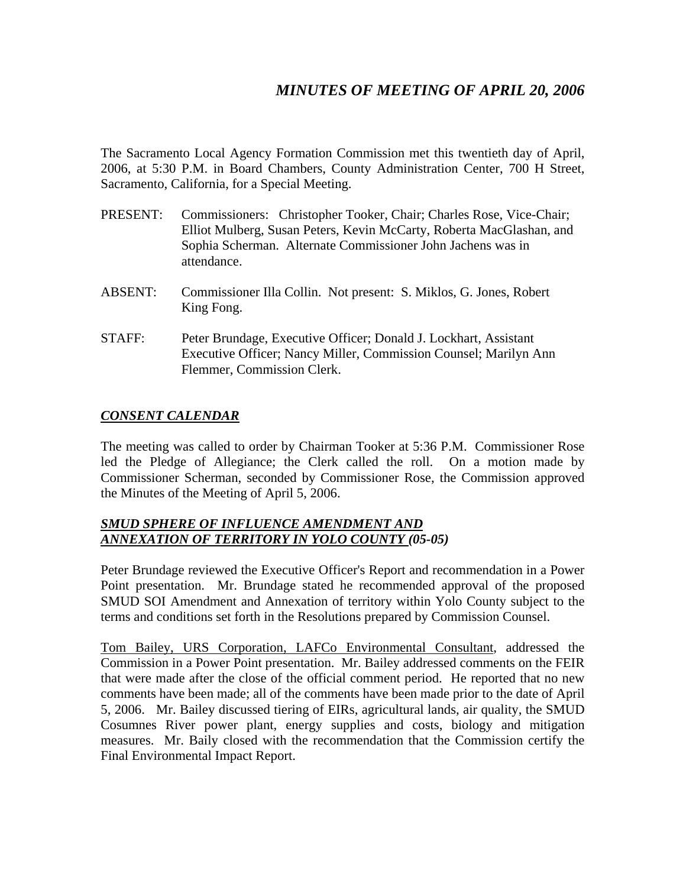# *MINUTES OF MEETING OF APRIL 20, 2006*

The Sacramento Local Agency Formation Commission met this twentieth day of April, 2006, at 5:30 P.M. in Board Chambers, County Administration Center, 700 H Street, Sacramento, California, for a Special Meeting.

- PRESENT: Commissioners: Christopher Tooker, Chair; Charles Rose, Vice-Chair; Elliot Mulberg, Susan Peters, Kevin McCarty, Roberta MacGlashan, and Sophia Scherman. Alternate Commissioner John Jachens was in attendance.
- ABSENT: Commissioner Illa Collin. Not present: S. Miklos, G. Jones, Robert King Fong.
- STAFF: Peter Brundage, Executive Officer; Donald J. Lockhart, Assistant Executive Officer; Nancy Miller, Commission Counsel; Marilyn Ann Flemmer, Commission Clerk.

## *CONSENT CALENDAR*

The meeting was called to order by Chairman Tooker at 5:36 P.M. Commissioner Rose led the Pledge of Allegiance; the Clerk called the roll. On a motion made by Commissioner Scherman, seconded by Commissioner Rose, the Commission approved the Minutes of the Meeting of April 5, 2006.

### *SMUD SPHERE OF INFLUENCE AMENDMENT AND ANNEXATION OF TERRITORY IN YOLO COUNTY (05-05)*

Peter Brundage reviewed the Executive Officer's Report and recommendation in a Power Point presentation. Mr. Brundage stated he recommended approval of the proposed SMUD SOI Amendment and Annexation of territory within Yolo County subject to the terms and conditions set forth in the Resolutions prepared by Commission Counsel.

Tom Bailey, URS Corporation, LAFCo Environmental Consultant, addressed the Commission in a Power Point presentation. Mr. Bailey addressed comments on the FEIR that were made after the close of the official comment period. He reported that no new comments have been made; all of the comments have been made prior to the date of April 5, 2006. Mr. Bailey discussed tiering of EIRs, agricultural lands, air quality, the SMUD Cosumnes River power plant, energy supplies and costs, biology and mitigation measures. Mr. Baily closed with the recommendation that the Commission certify the Final Environmental Impact Report.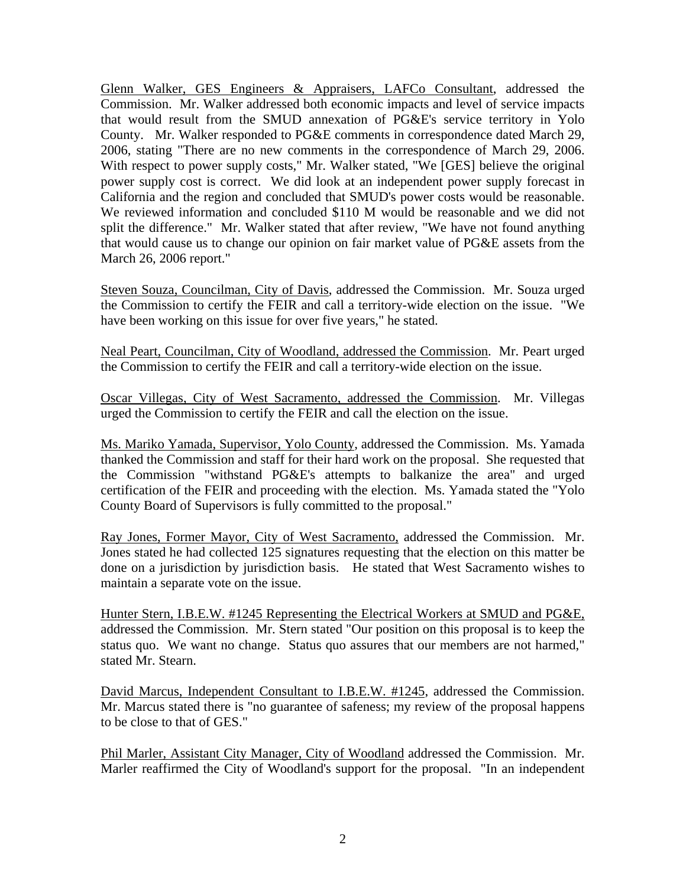Glenn Walker, GES Engineers & Appraisers, LAFCo Consultant, addressed the Commission. Mr. Walker addressed both economic impacts and level of service impacts that would result from the SMUD annexation of PG&E's service territory in Yolo County. Mr. Walker responded to PG&E comments in correspondence dated March 29, 2006, stating "There are no new comments in the correspondence of March 29, 2006. With respect to power supply costs," Mr. Walker stated, "We [GES] believe the original power supply cost is correct. We did look at an independent power supply forecast in California and the region and concluded that SMUD's power costs would be reasonable. We reviewed information and concluded \$110 M would be reasonable and we did not split the difference." Mr. Walker stated that after review, "We have not found anything that would cause us to change our opinion on fair market value of PG&E assets from the March 26, 2006 report."

Steven Souza, Councilman, City of Davis, addressed the Commission. Mr. Souza urged the Commission to certify the FEIR and call a territory-wide election on the issue. "We have been working on this issue for over five years," he stated.

Neal Peart, Councilman, City of Woodland, addressed the Commission. Mr. Peart urged the Commission to certify the FEIR and call a territory-wide election on the issue.

Oscar Villegas, City of West Sacramento, addressed the Commission. Mr. Villegas urged the Commission to certify the FEIR and call the election on the issue.

Ms. Mariko Yamada, Supervisor, Yolo County, addressed the Commission. Ms. Yamada thanked the Commission and staff for their hard work on the proposal. She requested that the Commission "withstand PG&E's attempts to balkanize the area" and urged certification of the FEIR and proceeding with the election. Ms. Yamada stated the "Yolo County Board of Supervisors is fully committed to the proposal."

Ray Jones, Former Mayor, City of West Sacramento, addressed the Commission. Mr. Jones stated he had collected 125 signatures requesting that the election on this matter be done on a jurisdiction by jurisdiction basis. He stated that West Sacramento wishes to maintain a separate vote on the issue.

Hunter Stern, I.B.E.W. #1245 Representing the Electrical Workers at SMUD and PG&E, addressed the Commission. Mr. Stern stated "Our position on this proposal is to keep the status quo. We want no change. Status quo assures that our members are not harmed," stated Mr. Stearn.

David Marcus, Independent Consultant to I.B.E.W. #1245, addressed the Commission. Mr. Marcus stated there is "no guarantee of safeness; my review of the proposal happens to be close to that of GES."

Phil Marler, Assistant City Manager, City of Woodland addressed the Commission. Mr. Marler reaffirmed the City of Woodland's support for the proposal. "In an independent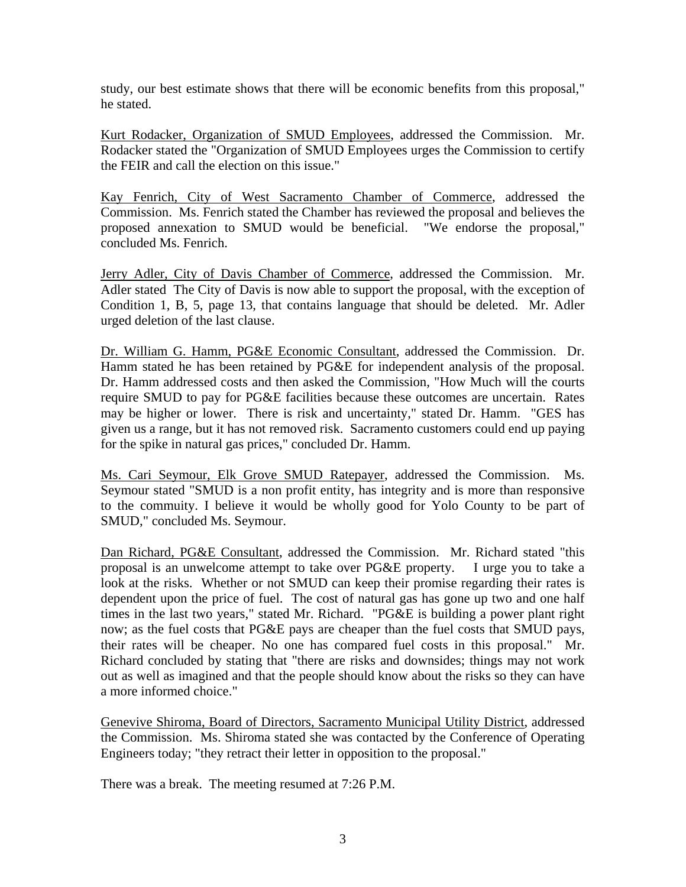study, our best estimate shows that there will be economic benefits from this proposal," he stated.

Kurt Rodacker, Organization of SMUD Employees, addressed the Commission. Mr. Rodacker stated the "Organization of SMUD Employees urges the Commission to certify the FEIR and call the election on this issue."

Kay Fenrich, City of West Sacramento Chamber of Commerce, addressed the Commission. Ms. Fenrich stated the Chamber has reviewed the proposal and believes the proposed annexation to SMUD would be beneficial. "We endorse the proposal," concluded Ms. Fenrich.

Jerry Adler, City of Davis Chamber of Commerce, addressed the Commission. Mr. Adler stated The City of Davis is now able to support the proposal, with the exception of Condition 1, B, 5, page 13, that contains language that should be deleted. Mr. Adler urged deletion of the last clause.

Dr. William G. Hamm, PG&E Economic Consultant, addressed the Commission. Dr. Hamm stated he has been retained by PG&E for independent analysis of the proposal. Dr. Hamm addressed costs and then asked the Commission, "How Much will the courts require SMUD to pay for PG&E facilities because these outcomes are uncertain. Rates may be higher or lower. There is risk and uncertainty," stated Dr. Hamm. "GES has given us a range, but it has not removed risk. Sacramento customers could end up paying for the spike in natural gas prices," concluded Dr. Hamm.

Ms. Cari Seymour, Elk Grove SMUD Ratepayer, addressed the Commission. Ms. Seymour stated "SMUD is a non profit entity, has integrity and is more than responsive to the commuity. I believe it would be wholly good for Yolo County to be part of SMUD," concluded Ms. Seymour.

Dan Richard, PG&E Consultant, addressed the Commission. Mr. Richard stated "this proposal is an unwelcome attempt to take over PG&E property. I urge you to take a look at the risks. Whether or not SMUD can keep their promise regarding their rates is dependent upon the price of fuel. The cost of natural gas has gone up two and one half times in the last two years," stated Mr. Richard. "PG&E is building a power plant right now; as the fuel costs that PG&E pays are cheaper than the fuel costs that SMUD pays, their rates will be cheaper. No one has compared fuel costs in this proposal." Mr. Richard concluded by stating that "there are risks and downsides; things may not work out as well as imagined and that the people should know about the risks so they can have a more informed choice."

Genevive Shiroma, Board of Directors, Sacramento Municipal Utility District, addressed the Commission. Ms. Shiroma stated she was contacted by the Conference of Operating Engineers today; "they retract their letter in opposition to the proposal."

There was a break. The meeting resumed at 7:26 P.M.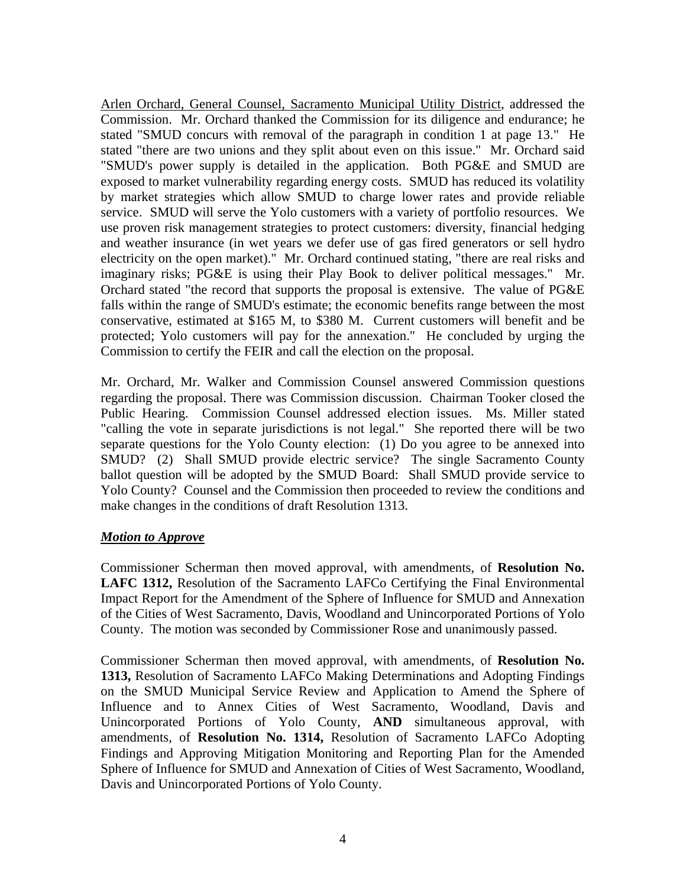Arlen Orchard, General Counsel, Sacramento Municipal Utility District, addressed the Commission. Mr. Orchard thanked the Commission for its diligence and endurance; he stated "SMUD concurs with removal of the paragraph in condition 1 at page 13." He stated "there are two unions and they split about even on this issue." Mr. Orchard said "SMUD's power supply is detailed in the application. Both PG&E and SMUD are exposed to market vulnerability regarding energy costs. SMUD has reduced its volatility by market strategies which allow SMUD to charge lower rates and provide reliable service. SMUD will serve the Yolo customers with a variety of portfolio resources. We use proven risk management strategies to protect customers: diversity, financial hedging and weather insurance (in wet years we defer use of gas fired generators or sell hydro electricity on the open market)." Mr. Orchard continued stating, "there are real risks and imaginary risks; PG&E is using their Play Book to deliver political messages." Mr. Orchard stated "the record that supports the proposal is extensive. The value of PG&E falls within the range of SMUD's estimate; the economic benefits range between the most conservative, estimated at \$165 M, to \$380 M. Current customers will benefit and be protected; Yolo customers will pay for the annexation." He concluded by urging the Commission to certify the FEIR and call the election on the proposal.

Mr. Orchard, Mr. Walker and Commission Counsel answered Commission questions regarding the proposal. There was Commission discussion. Chairman Tooker closed the Public Hearing. Commission Counsel addressed election issues. Ms. Miller stated "calling the vote in separate jurisdictions is not legal." She reported there will be two separate questions for the Yolo County election: (1) Do you agree to be annexed into SMUD? (2) Shall SMUD provide electric service? The single Sacramento County ballot question will be adopted by the SMUD Board: Shall SMUD provide service to Yolo County? Counsel and the Commission then proceeded to review the conditions and make changes in the conditions of draft Resolution 1313.

#### *Motion to Approve*

Commissioner Scherman then moved approval, with amendments, of **Resolution No. LAFC 1312,** Resolution of the Sacramento LAFCo Certifying the Final Environmental Impact Report for the Amendment of the Sphere of Influence for SMUD and Annexation of the Cities of West Sacramento, Davis, Woodland and Unincorporated Portions of Yolo County. The motion was seconded by Commissioner Rose and unanimously passed.

Commissioner Scherman then moved approval, with amendments, of **Resolution No. 1313,** Resolution of Sacramento LAFCo Making Determinations and Adopting Findings on the SMUD Municipal Service Review and Application to Amend the Sphere of Influence and to Annex Cities of West Sacramento, Woodland, Davis and Unincorporated Portions of Yolo County, **AND** simultaneous approval, with amendments, of **Resolution No. 1314,** Resolution of Sacramento LAFCo Adopting Findings and Approving Mitigation Monitoring and Reporting Plan for the Amended Sphere of Influence for SMUD and Annexation of Cities of West Sacramento, Woodland, Davis and Unincorporated Portions of Yolo County.